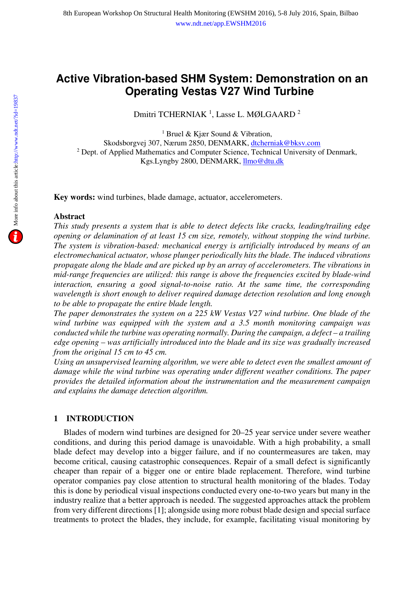# **Active Vibration-based SHM System: Demonstration on an Operating Vestas V27 Wind Turbine**

Dmitri TCHERNIAK<sup>1</sup>, Lasse L. MØLGAARD<sup>2</sup>

<sup>1</sup> Bruel & Kjær Sound & Vibration,

Skodsborgvej 307, Nærum 2850, DENMARK, dtcherniak@bksv.com <sup>2</sup> Dept. of Applied Mathematics and Computer Science, Technical University of Denmark, Kgs.Lyngby 2800, DENMARK, *llmo@dtu.dk* 

**Key words:** wind turbines, blade damage, actuator, accelerometers.

# **Abstract**

*This study presents a system that is able to detect defects like cracks, leading/trailing edge opening or delamination of at least 15 cm size, remotely, without stopping the wind turbine. The system is vibration-based: mechanical energy is artificially introduced by means of an electromechanical actuator, whose plunger periodically hits the blade. The induced vibrations propagate along the blade and are picked up by an array of accelerometers. The vibrations in mid-range frequencies are utilized: this range is above the frequencies excited by blade-wind interaction, ensuring a good signal-to-noise ratio. At the same time, the corresponding wavelength is short enough to deliver required damage detection resolution and long enough to be able to propagate the entire blade length.* 

*The paper demonstrates the system on a 225 kW Vestas V27 wind turbine. One blade of the wind turbine was equipped with the system and a 3.5 month monitoring campaign was conducted while the turbine was operating normally. During the campaign, a defect – a trailing edge opening – was artificially introduced into the blade and its size was gradually increased from the original 15 cm to 45 cm.* 

*Using an unsupervised learning algorithm, we were able to detect even the smallest amount of damage while the wind turbine was operating under different weather conditions. The paper provides the detailed information about the instrumentation and the measurement campaign and explains the damage detection algorithm.* 

# **1 INTRODUCTION**

Blades of modern wind turbines are designed for 20–25 year service under severe weather conditions, and during this period damage is unavoidable. With a high probability, a small blade defect may develop into a bigger failure, and if no countermeasures are taken, may become critical, causing catastrophic consequences. Repair of a small defect is significantly cheaper than repair of a bigger one or entire blade replacement. Therefore, wind turbine operator companies pay close attention to structural health monitoring of the blades. Today this is done by periodical visual inspections conducted every one-to-two years but many in the industry realize that a better approach is needed. The suggested approaches attack the problem from very different directions [1]; alongside using more robust blade design and special surface treatments to protect the blades, they include, for example, facilitating visual monitoring by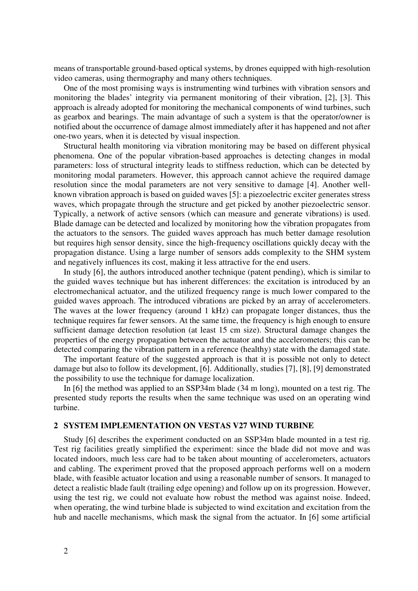means of transportable ground-based optical systems, by drones equipped with high-resolution video cameras, using thermography and many others techniques.

One of the most promising ways is instrumenting wind turbines with vibration sensors and monitoring the blades' integrity via permanent monitoring of their vibration, [2], [3]. This approach is already adopted for monitoring the mechanical components of wind turbines, such as gearbox and bearings. The main advantage of such a system is that the operator/owner is notified about the occurrence of damage almost immediately after it has happened and not after one-two years, when it is detected by visual inspection.

Structural health monitoring via vibration monitoring may be based on different physical phenomena. One of the popular vibration-based approaches is detecting changes in modal parameters: loss of structural integrity leads to stiffness reduction, which can be detected by monitoring modal parameters. However, this approach cannot achieve the required damage resolution since the modal parameters are not very sensitive to damage [4]. Another wellknown vibration approach is based on guided waves [5]: a piezoelectric exciter generates stress waves, which propagate through the structure and get picked by another piezoelectric sensor. Typically, a network of active sensors (which can measure and generate vibrations) is used. Blade damage can be detected and localized by monitoring how the vibration propagates from the actuators to the sensors. The guided waves approach has much better damage resolution but requires high sensor density, since the high-frequency oscillations quickly decay with the propagation distance. Using a large number of sensors adds complexity to the SHM system and negatively influences its cost, making it less attractive for the end users.

In study [6], the authors introduced another technique (patent pending), which is similar to the guided waves technique but has inherent differences: the excitation is introduced by an electromechanical actuator, and the utilized frequency range is much lower compared to the guided waves approach. The introduced vibrations are picked by an array of accelerometers. The waves at the lower frequency (around 1 kHz) can propagate longer distances, thus the technique requires far fewer sensors. At the same time, the frequency is high enough to ensure sufficient damage detection resolution (at least 15 cm size). Structural damage changes the properties of the energy propagation between the actuator and the accelerometers; this can be detected comparing the vibration pattern in a reference (healthy) state with the damaged state.

The important feature of the suggested approach is that it is possible not only to detect damage but also to follow its development, [6]. Additionally, studies [7], [8], [9] demonstrated the possibility to use the technique for damage localization.

In [6] the method was applied to an SSP34m blade (34 m long), mounted on a test rig. The presented study reports the results when the same technique was used on an operating wind turbine.

#### **2 SYSTEM IMPLEMENTATION ON VESTAS V27 WIND TURBINE**

Study [6] describes the experiment conducted on an SSP34m blade mounted in a test rig. Test rig facilities greatly simplified the experiment: since the blade did not move and was located indoors, much less care had to be taken about mounting of accelerometers, actuators and cabling. The experiment proved that the proposed approach performs well on a modern blade, with feasible actuator location and using a reasonable number of sensors. It managed to detect a realistic blade fault (trailing edge opening) and follow up on its progression. However, using the test rig, we could not evaluate how robust the method was against noise. Indeed, when operating, the wind turbine blade is subjected to wind excitation and excitation from the hub and nacelle mechanisms, which mask the signal from the actuator. In [6] some artificial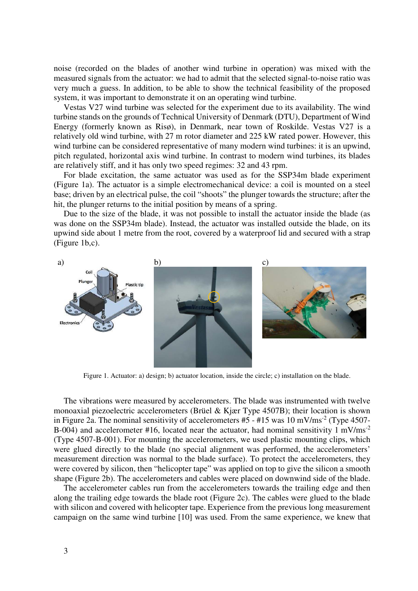noise (recorded on the blades of another wind turbine in operation) was mixed with the measured signals from the actuator: we had to admit that the selected signal-to-noise ratio was very much a guess. In addition, to be able to show the technical feasibility of the proposed system, it was important to demonstrate it on an operating wind turbine.

Vestas V27 wind turbine was selected for the experiment due to its availability. The wind turbine stands on the grounds of Technical University of Denmark (DTU), Department of Wind Energy (formerly known as Risø), in Denmark, near town of Roskilde. Vestas V27 is a relatively old wind turbine, with 27 m rotor diameter and 225 kW rated power. However, this wind turbine can be considered representative of many modern wind turbines: it is an upwind, pitch regulated, horizontal axis wind turbine. In contrast to modern wind turbines, its blades are relatively stiff, and it has only two speed regimes: 32 and 43 rpm.

For blade excitation, the same actuator was used as for the SSP34m blade experiment (Figure 1a). The actuator is a simple electromechanical device: a coil is mounted on a steel base; driven by an electrical pulse, the coil "shoots" the plunger towards the structure; after the hit, the plunger returns to the initial position by means of a spring.

Due to the size of the blade, it was not possible to install the actuator inside the blade (as was done on the SSP34m blade). Instead, the actuator was installed outside the blade, on its upwind side about 1 metre from the root, covered by a waterproof lid and secured with a strap (Figure 1b,c).



Figure 1. Actuator: a) design; b) actuator location, inside the circle; c) installation on the blade.

The vibrations were measured by accelerometers. The blade was instrumented with twelve monoaxial piezoelectric accelerometers (Brüel & Kjær Type 4507B); their location is shown in Figure 2a. The nominal sensitivity of accelerometers  $#5 - #15$  was  $10 \text{ mV/ms}^2$  (Type 4507-B-004) and accelerometer #16, located near the actuator, had nominal sensitivity  $1 \text{ mV/ms}^{-2}$ (Type 4507-B-001). For mounting the accelerometers, we used plastic mounting clips, which were glued directly to the blade (no special alignment was performed, the accelerometers' measurement direction was normal to the blade surface). To protect the accelerometers, they were covered by silicon, then "helicopter tape" was applied on top to give the silicon a smooth shape (Figure 2b). The accelerometers and cables were placed on downwind side of the blade.

The accelerometer cables run from the accelerometers towards the trailing edge and then along the trailing edge towards the blade root (Figure 2c). The cables were glued to the blade with silicon and covered with helicopter tape. Experience from the previous long measurement campaign on the same wind turbine [10] was used. From the same experience, we knew that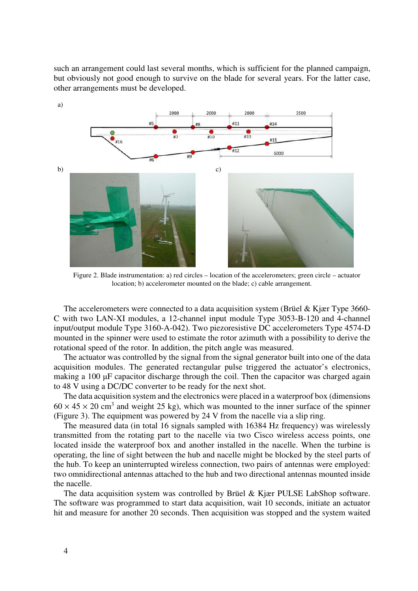such an arrangement could last several months, which is sufficient for the planned campaign, but obviously not good enough to survive on the blade for several years. For the latter case, other arrangements must be developed.



Figure 2. Blade instrumentation: a) red circles – location of the accelerometers; green circle – actuator location; b) accelerometer mounted on the blade; c) cable arrangement.

The accelerometers were connected to a data acquisition system (Brüel & Kjær Type 3660- C with two LAN-XI modules, a 12-channel input module Type 3053-B-120 and 4-channel input/output module Type 3160-A-042). Two piezoresistive DC accelerometers Type 4574-D mounted in the spinner were used to estimate the rotor azimuth with a possibility to derive the rotational speed of the rotor. In addition, the pitch angle was measured.

The actuator was controlled by the signal from the signal generator built into one of the data acquisition modules. The generated rectangular pulse triggered the actuator's electronics, making a 100  $\mu$ F capacitor discharge through the coil. Then the capacitor was charged again to 48 V using a DC/DC converter to be ready for the next shot.

The data acquisition system and the electronics were placed in a waterproof box (dimensions  $60 \times 45 \times 20$  cm<sup>3</sup> and weight 25 kg), which was mounted to the inner surface of the spinner (Figure 3). The equipment was powered by 24 V from the nacelle via a slip ring.

The measured data (in total 16 signals sampled with 16384 Hz frequency) was wirelessly transmitted from the rotating part to the nacelle via two Cisco wireless access points, one located inside the waterproof box and another installed in the nacelle. When the turbine is operating, the line of sight between the hub and nacelle might be blocked by the steel parts of the hub. To keep an uninterrupted wireless connection, two pairs of antennas were employed: two omnidirectional antennas attached to the hub and two directional antennas mounted inside the nacelle.

The data acquisition system was controlled by Brüel & Kjær PULSE LabShop software. The software was programmed to start data acquisition, wait 10 seconds, initiate an actuator hit and measure for another 20 seconds. Then acquisition was stopped and the system waited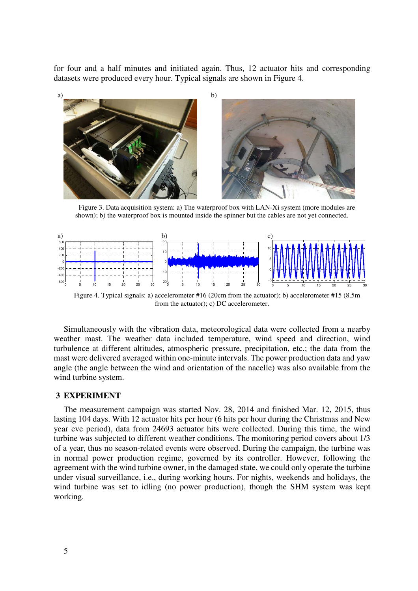for four and a half minutes and initiated again. Thus, 12 actuator hits and corresponding datasets were produced every hour. Typical signals are shown in Figure 4.



Figure 3. Data acquisition system: a) The waterproof box with LAN-Xi system (more modules are shown); b) the waterproof box is mounted inside the spinner but the cables are not yet connected.



Figure 4. Typical signals: a) accelerometer #16 (20cm from the actuator); b) accelerometer #15 (8.5m from the actuator); c) DC accelerometer.

Simultaneously with the vibration data, meteorological data were collected from a nearby weather mast. The weather data included temperature, wind speed and direction, wind turbulence at different altitudes, atmospheric pressure, precipitation, etc.; the data from the mast were delivered averaged within one-minute intervals. The power production data and yaw angle (the angle between the wind and orientation of the nacelle) was also available from the wind turbine system.

#### **3 EXPERIMENT**

The measurement campaign was started Nov. 28, 2014 and finished Mar. 12, 2015, thus lasting 104 days. With 12 actuator hits per hour (6 hits per hour during the Christmas and New year eve period), data from 24693 actuator hits were collected. During this time, the wind turbine was subjected to different weather conditions. The monitoring period covers about 1/3 of a year, thus no season-related events were observed. During the campaign, the turbine was in normal power production regime, governed by its controller. However, following the agreement with the wind turbine owner, in the damaged state, we could only operate the turbine under visual surveillance, i.e., during working hours. For nights, weekends and holidays, the wind turbine was set to idling (no power production), though the SHM system was kept working.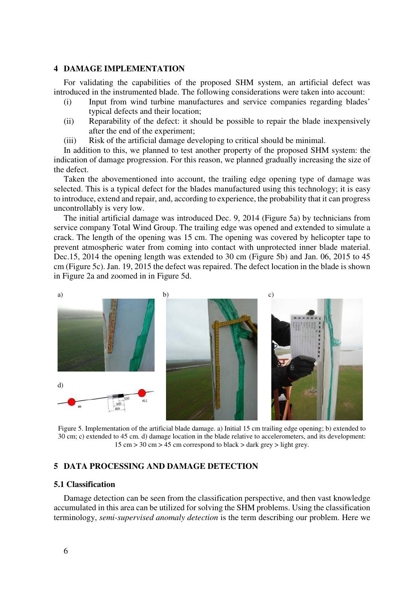# **4 DAMAGE IMPLEMENTATION**

For validating the capabilities of the proposed SHM system, an artificial defect was introduced in the instrumented blade. The following considerations were taken into account:

- (i) Input from wind turbine manufactures and service companies regarding blades' typical defects and their location;
- (ii) Reparability of the defect: it should be possible to repair the blade inexpensively after the end of the experiment;
- (iii) Risk of the artificial damage developing to critical should be minimal.

In addition to this, we planned to test another property of the proposed SHM system: the indication of damage progression. For this reason, we planned gradually increasing the size of the defect.

Taken the abovementioned into account, the trailing edge opening type of damage was selected. This is a typical defect for the blades manufactured using this technology; it is easy to introduce, extend and repair, and, according to experience, the probability that it can progress uncontrollably is very low.

The initial artificial damage was introduced Dec. 9, 2014 (Figure 5a) by technicians from service company Total Wind Group. The trailing edge was opened and extended to simulate a crack. The length of the opening was 15 cm. The opening was covered by helicopter tape to prevent atmospheric water from coming into contact with unprotected inner blade material. Dec.15, 2014 the opening length was extended to 30 cm (Figure 5b) and Jan. 06, 2015 to 45 cm (Figure 5c). Jan. 19, 2015 the defect was repaired. The defect location in the blade is shown in Figure 2a and zoomed in in Figure 5d.



Figure 5. Implementation of the artificial blade damage. a) Initial 15 cm trailing edge opening; b) extended to 30 cm; c) extended to 45 cm. d) damage location in the blade relative to accelerometers, and its development: 15 cm > 30 cm > 45 cm correspond to black > dark grey > light grey.

# **5 DATA PROCESSING AND DAMAGE DETECTION**

#### **5.1 Classification**

Damage detection can be seen from the classification perspective, and then vast knowledge accumulated in this area can be utilized for solving the SHM problems. Using the classification terminology, *semi-supervised anomaly detection* is the term describing our problem. Here we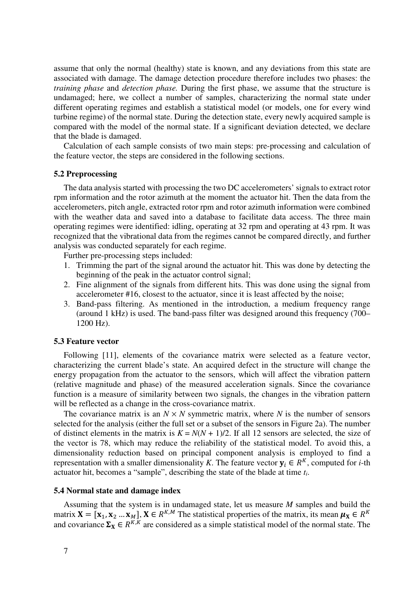assume that only the normal (healthy) state is known, and any deviations from this state are associated with damage. The damage detection procedure therefore includes two phases: the *training phase* and *detection phase.* During the first phase, we assume that the structure is undamaged; here, we collect a number of samples, characterizing the normal state under different operating regimes and establish a statistical model (or models, one for every wind turbine regime) of the normal state. During the detection state, every newly acquired sample is compared with the model of the normal state. If a significant deviation detected, we declare that the blade is damaged.

Calculation of each sample consists of two main steps: pre-processing and calculation of the feature vector, the steps are considered in the following sections.

#### **5.2 Preprocessing**

The data analysis started with processing the two DC accelerometers' signals to extract rotor rpm information and the rotor azimuth at the moment the actuator hit. Then the data from the accelerometers, pitch angle, extracted rotor rpm and rotor azimuth information were combined with the weather data and saved into a database to facilitate data access. The three main operating regimes were identified: idling, operating at 32 rpm and operating at 43 rpm. It was recognized that the vibrational data from the regimes cannot be compared directly, and further analysis was conducted separately for each regime.

Further pre-processing steps included:

- 1. Trimming the part of the signal around the actuator hit. This was done by detecting the beginning of the peak in the actuator control signal;
- 2. Fine alignment of the signals from different hits. This was done using the signal from accelerometer #16, closest to the actuator, since it is least affected by the noise;
- 3. Band-pass filtering. As mentioned in the introduction, a medium frequency range (around 1 kHz) is used. The band-pass filter was designed around this frequency (700– 1200 Hz).

#### **5.3 Feature vector**

Following [11], elements of the covariance matrix were selected as a feature vector, characterizing the current blade's state. An acquired defect in the structure will change the energy propagation from the actuator to the sensors, which will affect the vibration pattern (relative magnitude and phase) of the measured acceleration signals. Since the covariance function is a measure of similarity between two signals, the changes in the vibration pattern will be reflected as a change in the cross-covariance matrix.

The covariance matrix is an  $N \times N$  symmetric matrix, where N is the number of sensors selected for the analysis (either the full set or a subset of the sensors in Figure 2a). The number of distinct elements in the matrix is  $K = N(N + 1)/2$ . If all 12 sensors are selected, the size of the vector is 78, which may reduce the reliability of the statistical model. To avoid this, a dimensionality reduction based on principal component analysis is employed to find a representation with a smaller dimensionality *K*. The feature vector  $y_i \in R^K$ , computed for *i*-th actuator hit, becomes a "sample", describing the state of the blade at time *ti*.

#### **5.4 Normal state and damage index**

Assuming that the system is in undamaged state, let us measure *M* samples and build the matrix  $X = [x_1, x_2, ..., x_M]$ ,  $X \in R^{K,M}$  The statistical properties of the matrix, its mean  $\mu_X \in R^K$ and covariance  $\Sigma_X \in R^{K,K}$  are considered as a simple statistical model of the normal state. The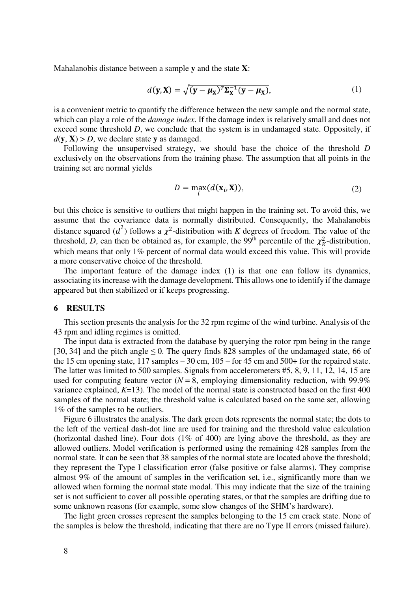Mahalanobis distance between a sample **y** and the state **X**:

$$
d(\mathbf{y}, \mathbf{X}) = \sqrt{(\mathbf{y} - \boldsymbol{\mu}_{\mathbf{X}})^T \boldsymbol{\Sigma}_{\mathbf{X}}^{-1} (\mathbf{y} - \boldsymbol{\mu}_{\mathbf{X}})},
$$
(1)

is a convenient metric to quantify the difference between the new sample and the normal state, which can play a role of the *damage index*. If the damage index is relatively small and does not exceed some threshold *D*, we conclude that the system is in undamaged state. Oppositely, if  $d$ (**y**, **X**) > *D*, we declare state **y** as damaged.

Following the unsupervised strategy, we should base the choice of the threshold *D* exclusively on the observations from the training phase. The assumption that all points in the training set are normal yields

$$
D = \max_{i} (d(\mathbf{x}_i, \mathbf{X})),
$$
\n(2)

but this choice is sensitive to outliers that might happen in the training set. To avoid this, we assume that the covariance data is normally distributed. Consequently, the Mahalanobis distance squared  $(d^2)$  follows a  $\chi^2$ -distribution with *K* degrees of freedom. The value of the threshold, *D*, can then be obtained as, for example, the 99<sup>th</sup> percentile of the  $\chi^2$ -distribution, which means that only 1% percent of normal data would exceed this value. This will provide a more conservative choice of the threshold.

The important feature of the damage index (1) is that one can follow its dynamics, associating its increase with the damage development. This allows one to identify if the damage appeared but then stabilized or if keeps progressing.

#### **6 RESULTS**

This section presents the analysis for the 32 rpm regime of the wind turbine. Analysis of the 43 rpm and idling regimes is omitted.

The input data is extracted from the database by querying the rotor rpm being in the range [30, 34] and the pitch angle  $\leq$  0. The query finds 828 samples of the undamaged state, 66 of the 15 cm opening state, 117 samples – 30 cm, 105 – for 45 cm and 500+ for the repaired state. The latter was limited to 500 samples. Signals from accelerometers #5, 8, 9, 11, 12, 14, 15 are used for computing feature vector  $(N = 8$ , employing dimensionality reduction, with 99.9% variance explained, *K*=13). The model of the normal state is constructed based on the first 400 samples of the normal state; the threshold value is calculated based on the same set, allowing 1% of the samples to be outliers.

Figure 6 illustrates the analysis. The dark green dots represents the normal state; the dots to the left of the vertical dash-dot line are used for training and the threshold value calculation (horizontal dashed line). Four dots  $(1\% \text{ of } 400)$  are lying above the threshold, as they are allowed outliers. Model verification is performed using the remaining 428 samples from the normal state. It can be seen that 38 samples of the normal state are located above the threshold; they represent the Type I classification error (false positive or false alarms). They comprise almost 9% of the amount of samples in the verification set, i.e., significantly more than we allowed when forming the normal state modal. This may indicate that the size of the training set is not sufficient to cover all possible operating states, or that the samples are drifting due to some unknown reasons (for example, some slow changes of the SHM's hardware).

The light green crosses represent the samples belonging to the 15 cm crack state. None of the samples is below the threshold, indicating that there are no Type II errors (missed failure).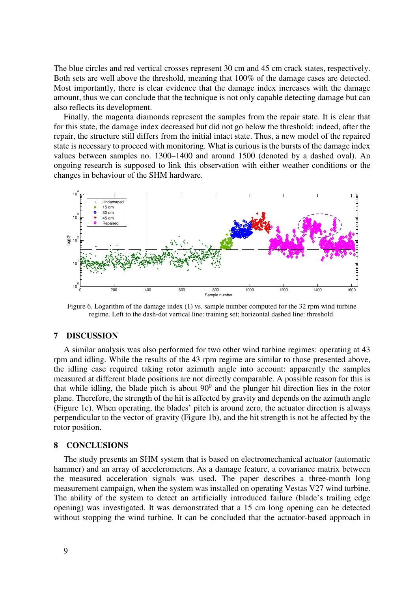The blue circles and red vertical crosses represent 30 cm and 45 cm crack states, respectively. Both sets are well above the threshold, meaning that 100% of the damage cases are detected. Most importantly, there is clear evidence that the damage index increases with the damage amount, thus we can conclude that the technique is not only capable detecting damage but can also reflects its development.

Finally, the magenta diamonds represent the samples from the repair state. It is clear that for this state, the damage index decreased but did not go below the threshold: indeed, after the repair, the structure still differs from the initial intact state. Thus, a new model of the repaired state is necessary to proceed with monitoring. What is curious is the bursts of the damage index values between samples no. 1300–1400 and around 1500 (denoted by a dashed oval). An ongoing research is supposed to link this observation with either weather conditions or the changes in behaviour of the SHM hardware.



Figure 6. Logarithm of the damage index (1) vs. sample number computed for the 32 rpm wind turbine regime. Left to the dash-dot vertical line: training set; horizontal dashed line: threshold.

# **7 DISCUSSION**

A similar analysis was also performed for two other wind turbine regimes: operating at 43 rpm and idling. While the results of the 43 rpm regime are similar to those presented above, the idling case required taking rotor azimuth angle into account: apparently the samples measured at different blade positions are not directly comparable. A possible reason for this is that while idling, the blade pitch is about  $90^0$  and the plunger hit direction lies in the rotor plane. Therefore, the strength of the hit is affected by gravity and depends on the azimuth angle (Figure 1c). When operating, the blades' pitch is around zero, the actuator direction is always perpendicular to the vector of gravity (Figure 1b), and the hit strength is not be affected by the rotor position.

#### **8 CONCLUSIONS**

The study presents an SHM system that is based on electromechanical actuator (automatic hammer) and an array of accelerometers. As a damage feature, a covariance matrix between the measured acceleration signals was used. The paper describes a three-month long measurement campaign, when the system was installed on operating Vestas V27 wind turbine. The ability of the system to detect an artificially introduced failure (blade's trailing edge opening) was investigated. It was demonstrated that a 15 cm long opening can be detected without stopping the wind turbine. It can be concluded that the actuator-based approach in